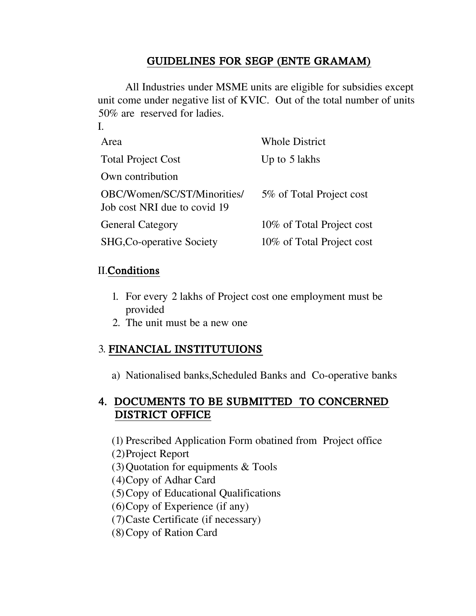# GUIDELINES FOR SEGP (ENTE GRAMAM)

All Industries under MSME units are eligible for subsidies except unit come under negative list of KVIC. Out of the total number of units 50% are reserved for ladies.

| Area                                                        | <b>Whole District</b>     |
|-------------------------------------------------------------|---------------------------|
| <b>Total Project Cost</b>                                   | Up to 5 lakhs             |
| Own contribution                                            |                           |
| OBC/Women/SC/ST/Minorities/<br>Job cost NRI due to covid 19 | 5% of Total Project cost  |
| <b>General Category</b>                                     | 10% of Total Project cost |
| SHG, Co-operative Society                                   | 10% of Total Project cost |

### II.Conditions

I.

- 1. For every 2 lakhs of Project cost one employment must be provided
- 2. The unit must be a new one

## 3. FINANCIAL INSTITUTUIONS

a) Nationalised banks,Scheduled Banks and Co-operative banks

## 4. DOCUMENTS TO BE SUBMITTED TO CONCERNED DISTRICT OFFICE

(1) Prescribed Application Form obatined from Project office

- (2)Project Report
- (3)Quotation for equipments & Tools
- (4)Copy of Adhar Card
- (5)Copy of Educational Qualifications
- (6)Copy of Experience (if any)
- (7)Caste Certificate (if necessary)
- (8)Copy of Ration Card